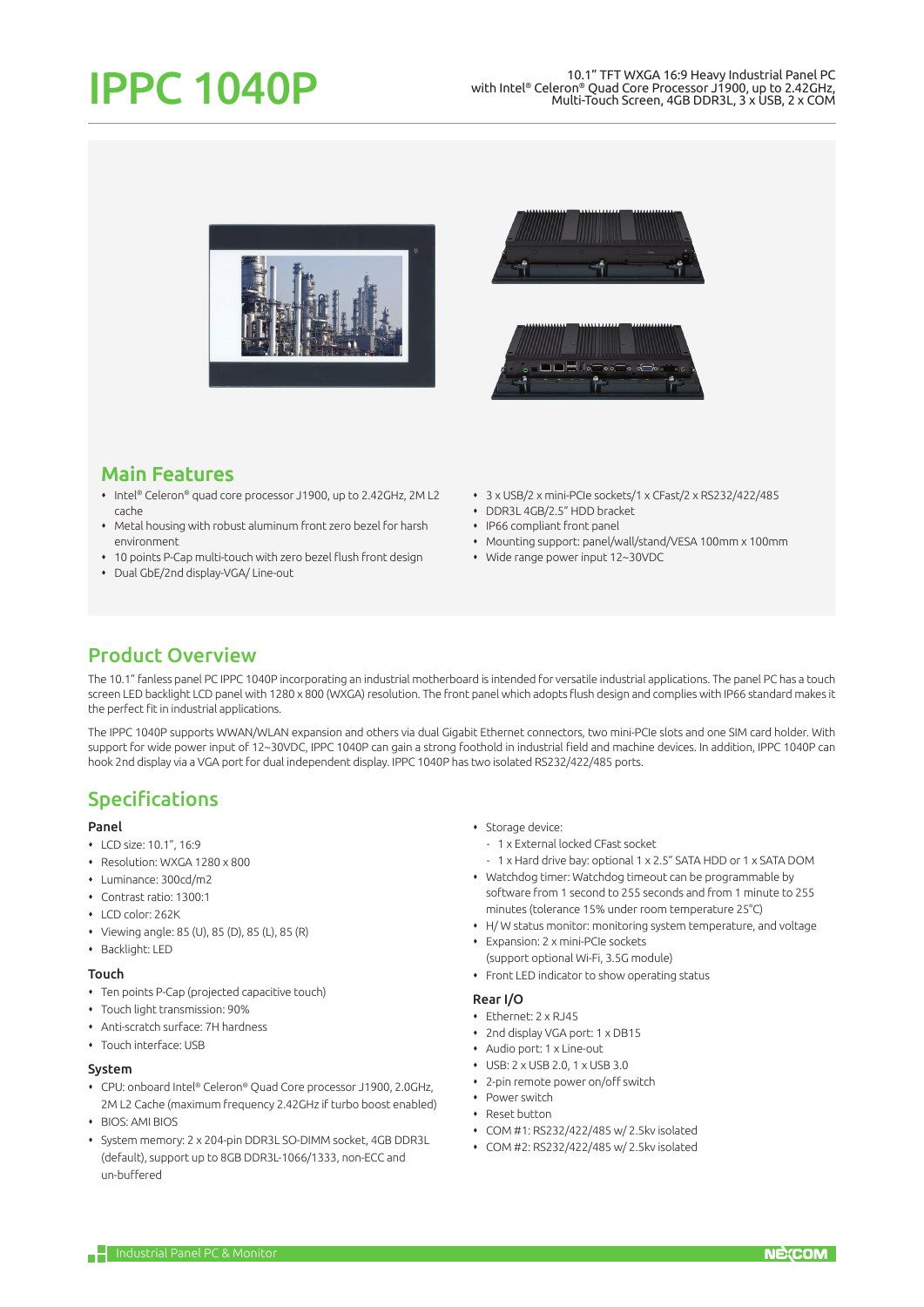





# Main Features

- Intel® Celeron® quad core processor J1900, up to 2.42GHz, 2M L2 cache
- Metal housing with robust aluminum front zero bezel for harsh environment
- 10 points P-Cap multi-touch with zero bezel flush front design
- Dual GbE/2nd display-VGA/ Line-out
- 3 x USB/2 x mini-PCIe sockets/1 x CFast/2 x RS232/422/485
- DDR3L 4GB/2.5" HDD bracket
- IP66 compliant front panel
- Mounting support: panel/wall/stand/VESA 100mm x 100mm
- Wide range power input 12~30VDC

# Product Overview

The 10.1" fanless panel PC IPPC 1040P incorporating an industrial motherboard is intended for versatile industrial applications. The panel PC has a touch screen LED backlight LCD panel with 1280 x 800 (WXGA) resolution. The front panel which adopts flush design and complies with IP66 standard makes it the perfect fit in industrial applications.

The IPPC 1040P supports WWAN/WLAN expansion and others via dual Gigabit Ethernet connectors, two mini-PCIe slots and one SIM card holder. With support for wide power input of 12~30VDC, IPPC 1040P can gain a strong foothold in industrial field and machine devices. In addition, IPPC 1040P can hook 2nd display via a VGA port for dual independent display. IPPC 1040P has two isolated RS232/422/485 ports.

# Specifications

## Panel

- LCD size: 10.1", 16:9
- Resolution: WXGA 1280 x 800
- Luminance: 300cd/m2
- Contrast ratio: 1300:1
- $\cdot$  LCD color: 262K
- $\bullet\;$  Viewing angle: 85 (U), 85 (D), 85 (L), 85 (R)
- Backlight: LED

## Touch

- Ten points P-Cap (projected capacitive touch)
- Touch light transmission: 90%
- Anti-scratch surface: 7H hardness
- Touch interface: USB

## System

- CPU: onboard Intel® Celeron® Quad Core processor J1900, 2.0GHz, 2M L2 Cache (maximum frequency 2.42GHz if turbo boost enabled)
- BIOS: AMI BIOS
- System memory: 2 x 204-pin DDR3L SO-DIMM socket, 4GB DDR3L (default), support up to 8GB DDR3L-1066/1333, non-ECC and un-buffered
- Storage device:
	- 1 x External locked CFast socket
	- 1 x Hard drive bay: optional 1 x 2.5" SATA HDD or 1 x SATA DOM
- Watchdog timer: Watchdog timeout can be programmable by software from 1 second to 255 seconds and from 1 minute to 255 minutes (tolerance 15% under room temperature 25°C)
- H/ W status monitor: monitoring system temperature, and voltage
- Expansion: 2 x mini-PCIe sockets (support optional Wi-Fi, 3.5G module)
- Front LED indicator to show operating status

## Rear I/O

- Ethernet: 2 x RJ45
- 2nd display VGA port: 1 x DB15
- Audio port: 1 x Line-out
- USB: 2 x USB 2.0, 1 x USB 3.0
- 2-pin remote power on/off switch
- Power switch
- Reset button
- COM #1: RS232/422/485 w/ 2.5kv isolated
- COM #2: RS232/422/485 w/ 2.5kv isolated